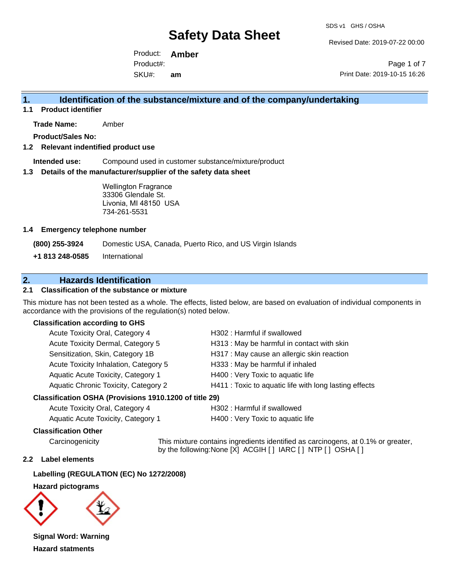Revised Date: 2019-07-22 00:00

Product: **Amber**  SKU#: Product#: **am**

Page 1 of 7 Print Date: 2019-10-15 16:26

### **1. Identification of the substance/mixture and of the company/undertaking**

**1.1 Product identifier**

**Trade Name:** Amber

**Product/Sales No:**

### **1.2 Relevant indentified product use**

**Intended use:** Compound used in customer substance/mixture/product

### **1.3 Details of the manufacturer/supplier of the safety data sheet**

Wellington Fragrance 33306 Glendale St. Livonia, MI 48150 USA 734-261-5531

### **1.4 Emergency telephone number**

**(800) 255-3924** Domestic USA, Canada, Puerto Rico, and US Virgin Islands

**+1 813 248-0585** International

### **2. Hazards Identification**

### **2.1 Classification of the substance or mixture**

This mixture has not been tested as a whole. The effects, listed below, are based on evaluation of individual components in accordance with the provisions of the regulation(s) noted below.

### **Classification according to GHS**

| Acute Toxicity Oral, Category 4       | H302: Harmful if swallowed                             |
|---------------------------------------|--------------------------------------------------------|
| Acute Toxicity Dermal, Category 5     | H313: May be harmful in contact with skin              |
| Sensitization, Skin, Category 1B      | H317 : May cause an allergic skin reaction             |
| Acute Toxicity Inhalation, Category 5 | H333: May be harmful if inhaled                        |
| Aquatic Acute Toxicity, Category 1    | H400 : Very Toxic to aquatic life                      |
| Aquatic Chronic Toxicity, Category 2  | H411 : Toxic to aquatic life with long lasting effects |
|                                       |                                                        |

### **Classification OSHA (Provisions 1910.1200 of title 29)**

| Acute Toxicity Oral, Category 4    |  |
|------------------------------------|--|
| Aquatic Acute Toxicity. Category 1 |  |

H302 : Harmful if swallowed

H400 : Very Toxic to aquatic life

### **Classification Other**

Carcinogenicity This mixture contains ingredients identified as carcinogens, at 0.1% or greater, by the following:None [X] ACGIH [ ] IARC [ ] NTP [ ] OSHA [ ]

### **2.2 Label elements**

**Labelling (REGULATION (EC) No 1272/2008)**

**Hazard pictograms**



**Signal Word: Warning Hazard statments**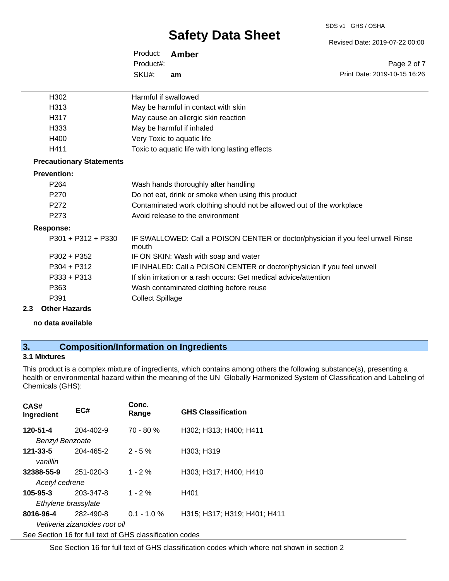#### SDS v1 GHS / OSHA

# **Safety Data Sheet**

Revised Date: 2019-07-22 00:00

| Product:  | Amber |
|-----------|-------|
| Product#: |       |
| SKU#:     | am    |

Page 2 of 7 Print Date: 2019-10-15 16:26

| H302                            | Harmful if swallowed                                                                     |
|---------------------------------|------------------------------------------------------------------------------------------|
| H313                            | May be harmful in contact with skin                                                      |
| H317                            | May cause an allergic skin reaction                                                      |
| H333                            | May be harmful if inhaled                                                                |
| H400                            | Very Toxic to aquatic life                                                               |
| H411                            | Toxic to aquatic life with long lasting effects                                          |
| <b>Precautionary Statements</b> |                                                                                          |
| <b>Prevention:</b>              |                                                                                          |
| P <sub>264</sub>                | Wash hands thoroughly after handling                                                     |
| P270                            | Do not eat, drink or smoke when using this product                                       |
| P272                            | Contaminated work clothing should not be allowed out of the workplace                    |
| P273                            | Avoid release to the environment                                                         |
| <b>Response:</b>                |                                                                                          |
| $P301 + P312 + P330$            | IF SWALLOWED: Call a POISON CENTER or doctor/physician if you feel unwell Rinse<br>mouth |
| $P302 + P352$                   | IF ON SKIN: Wash with soap and water                                                     |
| $P304 + P312$                   | IF INHALED: Call a POISON CENTER or doctor/physician if you feel unwell                  |
| P333 + P313                     | If skin irritation or a rash occurs: Get medical advice/attention                        |
| P363                            | Wash contaminated clothing before reuse                                                  |
| P391                            | <b>Collect Spillage</b>                                                                  |
|                                 |                                                                                          |

### **2.3 Other Hazards**

**no data available**

## **3. Composition/Information on Ingredients**

### **3.1 Mixtures**

This product is a complex mixture of ingredients, which contains among others the following substance(s), presenting a health or environmental hazard within the meaning of the UN Globally Harmonized System of Classification and Labeling of Chemicals (GHS):

| CAS#<br>Ingredient                                       | EC#                                        | Conc.<br>Range | <b>GHS Classification</b>    |  |
|----------------------------------------------------------|--------------------------------------------|----------------|------------------------------|--|
| 120-51-4<br><b>Benzyl Benzoate</b>                       | $204 - 402 - 9$                            | $70 - 80 %$    | H302; H313; H400; H411       |  |
| 121-33-5<br>vanillin                                     | 204-465-2                                  | $2 - 5%$       | H303; H319                   |  |
| 32388-55-9<br>Acetyl cedrene                             | 251-020-3                                  | $1 - 2%$       | H303; H317; H400; H410       |  |
| $105 - 95 - 3$<br>Ethylene brassylate                    | 203-347-8                                  | $1 - 2%$       | H401                         |  |
| 8016-96-4                                                | 282-490-8<br>Vetiveria zizanoides root oil | $0.1 - 1.0 \%$ | H315; H317; H319; H401; H411 |  |
| See Section 16 for full text of GHS classification codes |                                            |                |                              |  |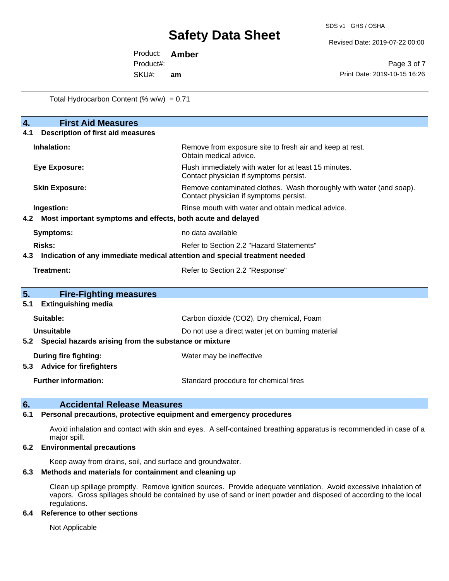Revised Date: 2019-07-22 00:00

Product: **Amber**  SKU#: Product#: **am**

Page 3 of 7 Print Date: 2019-10-15 16:26

Total Hydrocarbon Content (%  $w/w$ ) = 0.71

| $\overline{4}$ .<br><b>First Aid Measures</b>                                     |                                                                                                               |  |  |  |  |
|-----------------------------------------------------------------------------------|---------------------------------------------------------------------------------------------------------------|--|--|--|--|
| <b>Description of first aid measures</b><br>4.1                                   |                                                                                                               |  |  |  |  |
| Inhalation:                                                                       | Remove from exposure site to fresh air and keep at rest.<br>Obtain medical advice.                            |  |  |  |  |
| <b>Eye Exposure:</b>                                                              | Flush immediately with water for at least 15 minutes.<br>Contact physician if symptoms persist.               |  |  |  |  |
| <b>Skin Exposure:</b>                                                             | Remove contaminated clothes. Wash thoroughly with water (and soap).<br>Contact physician if symptoms persist. |  |  |  |  |
| Ingestion:                                                                        | Rinse mouth with water and obtain medical advice.                                                             |  |  |  |  |
| Most important symptoms and effects, both acute and delayed<br>4.2                |                                                                                                               |  |  |  |  |
| <b>Symptoms:</b>                                                                  | no data available                                                                                             |  |  |  |  |
| <b>Risks:</b><br>Refer to Section 2.2 "Hazard Statements"                         |                                                                                                               |  |  |  |  |
| Indication of any immediate medical attention and special treatment needed<br>4.3 |                                                                                                               |  |  |  |  |
| <b>Treatment:</b>                                                                 | Refer to Section 2.2 "Response"                                                                               |  |  |  |  |
|                                                                                   |                                                                                                               |  |  |  |  |
| 5.<br><b>Fire-Fighting measures</b>                                               |                                                                                                               |  |  |  |  |
| <b>Extinguishing media</b><br>5.1                                                 |                                                                                                               |  |  |  |  |
| Suitable:                                                                         | Carbon dioxide (CO2), Dry chemical, Foam                                                                      |  |  |  |  |
| Unsuitable<br>Do not use a direct water jet on burning material                   |                                                                                                               |  |  |  |  |
| Special hazards arising from the substance or mixture<br>5.2                      |                                                                                                               |  |  |  |  |
| <b>During fire fighting:</b>                                                      | Water may be ineffective                                                                                      |  |  |  |  |
| <b>Advice for firefighters</b><br>5.3                                             |                                                                                                               |  |  |  |  |
| <b>Further information:</b>                                                       | Standard procedure for chemical fires                                                                         |  |  |  |  |

### **6. Accidental Release Measures**

### **6.1 Personal precautions, protective equipment and emergency procedures**

Avoid inhalation and contact with skin and eyes. A self-contained breathing apparatus is recommended in case of a major spill.

### **6.2 Environmental precautions**

Keep away from drains, soil, and surface and groundwater.

### **6.3 Methods and materials for containment and cleaning up**

Clean up spillage promptly. Remove ignition sources. Provide adequate ventilation. Avoid excessive inhalation of vapors. Gross spillages should be contained by use of sand or inert powder and disposed of according to the local regulations.

### **6.4 Reference to other sections**

Not Applicable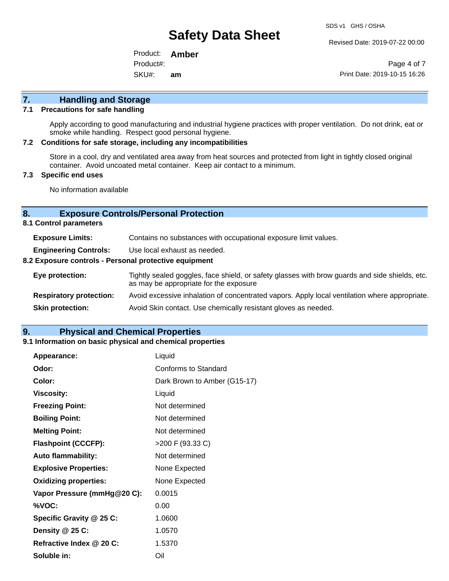Revised Date: 2019-07-22 00:00

Product: **Amber**  SKU#: Product#: **am**

Page 4 of 7 Print Date: 2019-10-15 16:26

## **7. Handling and Storage**

### **7.1 Precautions for safe handling**

Apply according to good manufacturing and industrial hygiene practices with proper ventilation. Do not drink, eat or smoke while handling. Respect good personal hygiene.

### **7.2 Conditions for safe storage, including any incompatibilities**

Store in a cool, dry and ventilated area away from heat sources and protected from light in tightly closed original container. Avoid uncoated metal container. Keep air contact to a minimum.

### **7.3 Specific end uses**

No information available

### **8. Exposure Controls/Personal Protection**

**8.1 Control parameters**

| <b>Exposure Limits:</b>                               | Contains no substances with occupational exposure limit values.                                                                          |  |  |  |
|-------------------------------------------------------|------------------------------------------------------------------------------------------------------------------------------------------|--|--|--|
| <b>Engineering Controls:</b>                          | Use local exhaust as needed.                                                                                                             |  |  |  |
| 8.2 Exposure controls - Personal protective equipment |                                                                                                                                          |  |  |  |
| Eye protection:                                       | Tightly sealed goggles, face shield, or safety glasses with brow guards and side shields, etc.<br>as may be appropriate for the exposure |  |  |  |
| <b>Respiratory protection:</b>                        | Avoid excessive inhalation of concentrated vapors. Apply local ventilation where appropriate.                                            |  |  |  |
| <b>Skin protection:</b>                               | Avoid Skin contact. Use chemically resistant gloves as needed.                                                                           |  |  |  |

### **9. Physical and Chemical Properties**

### **9.1 Information on basic physical and chemical properties**

| Appearance:                  | Liquid                       |
|------------------------------|------------------------------|
| Odor:                        | Conforms to Standard         |
| Color:                       | Dark Brown to Amber (G15-17) |
| <b>Viscosity:</b>            | Liquid                       |
| <b>Freezing Point:</b>       | Not determined               |
| <b>Boiling Point:</b>        | Not determined               |
| <b>Melting Point:</b>        | Not determined               |
| <b>Flashpoint (CCCFP):</b>   | >200 F (93.33 C)             |
| <b>Auto flammability:</b>    | Not determined               |
| <b>Explosive Properties:</b> | None Expected                |
| <b>Oxidizing properties:</b> | None Expected                |
| Vapor Pressure (mmHg@20 C):  | 0.0015                       |
| %VOC:                        | 0.00                         |
| Specific Gravity @ 25 C:     | 1.0600                       |
| Density @ 25 C:              | 1.0570                       |
| Refractive Index @ 20 C:     | 1.5370                       |
| Soluble in:                  | Oil                          |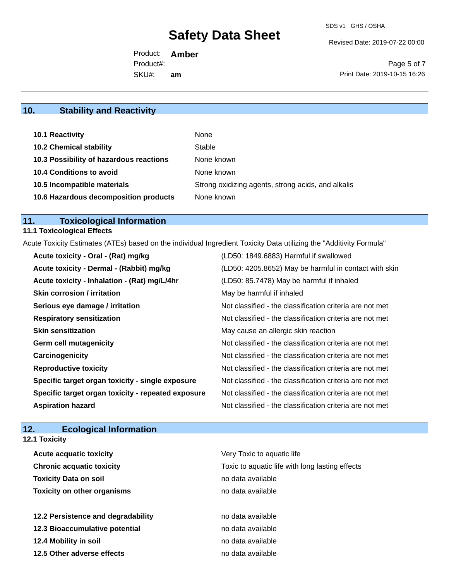Revised Date: 2019-07-22 00:00

Product: **Amber**  SKU#: Product#: **am**

Page 5 of 7 Print Date: 2019-10-15 16:26

## **10. Stability and Reactivity**

| 10.1 Reactivity                         | None                                               |
|-----------------------------------------|----------------------------------------------------|
| <b>10.2 Chemical stability</b>          | Stable                                             |
| 10.3 Possibility of hazardous reactions | None known                                         |
| <b>10.4 Conditions to avoid</b>         | None known                                         |
| 10.5 Incompatible materials             | Strong oxidizing agents, strong acids, and alkalis |
| 10.6 Hazardous decomposition products   | None known                                         |

## **11. Toxicological Information**

## **11.1 Toxicological Effects**

Acute Toxicity Estimates (ATEs) based on the individual Ingredient Toxicity Data utilizing the "Additivity Formula"

| Acute toxicity - Oral - (Rat) mg/kg                | (LD50: 1849.6883) Harmful if swallowed                   |
|----------------------------------------------------|----------------------------------------------------------|
| Acute toxicity - Dermal - (Rabbit) mg/kg           | (LD50: 4205.8652) May be harmful in contact with skin    |
| Acute toxicity - Inhalation - (Rat) mg/L/4hr       | (LD50: 85.7478) May be harmful if inhaled                |
| <b>Skin corrosion / irritation</b>                 | May be harmful if inhaled                                |
| Serious eye damage / irritation                    | Not classified - the classification criteria are not met |
| <b>Respiratory sensitization</b>                   | Not classified - the classification criteria are not met |
| <b>Skin sensitization</b>                          | May cause an allergic skin reaction                      |
| <b>Germ cell mutagenicity</b>                      | Not classified - the classification criteria are not met |
| Carcinogenicity                                    | Not classified - the classification criteria are not met |
| <b>Reproductive toxicity</b>                       | Not classified - the classification criteria are not met |
| Specific target organ toxicity - single exposure   | Not classified - the classification criteria are not met |
| Specific target organ toxicity - repeated exposure | Not classified - the classification criteria are not met |
| <b>Aspiration hazard</b>                           | Not classified - the classification criteria are not met |

## **12. Ecological Information**

| <b>12.1 Toxicity</b>               |                                                 |
|------------------------------------|-------------------------------------------------|
| <b>Acute acquatic toxicity</b>     | Very Toxic to aquatic life                      |
| <b>Chronic acquatic toxicity</b>   | Toxic to aquatic life with long lasting effects |
| <b>Toxicity Data on soil</b>       | no data available                               |
| <b>Toxicity on other organisms</b> | no data available                               |
| 12.2 Persistence and degradability | no data available                               |
| 12.3 Bioaccumulative potential     | no data available                               |
| 12.4 Mobility in soil              | no data available                               |
| 12.5 Other adverse effects         | no data available                               |
|                                    |                                                 |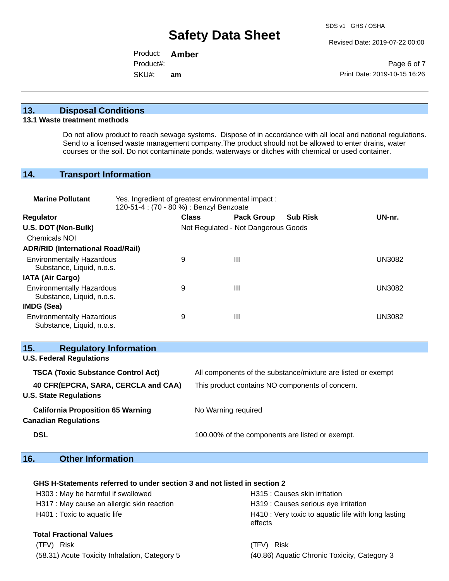Revised Date: 2019-07-22 00:00

Product: **Amber**  SKU#: Product#: **am**

Page 6 of 7 Print Date: 2019-10-15 16:26

### **13. Disposal Conditions**

### **13.1 Waste treatment methods**

Do not allow product to reach sewage systems. Dispose of in accordance with all local and national regulations. Send to a licensed waste management company.The product should not be allowed to enter drains, water courses or the soil. Do not contaminate ponds, waterways or ditches with chemical or used container.

## **14. Transport Information**

| <b>Marine Pollutant</b>                                                 | Yes. Ingredient of greatest environmental impact:<br>120-51-4 : (70 - 80 %) : Benzyl Benzoate |              |                                     |                                                              |               |
|-------------------------------------------------------------------------|-----------------------------------------------------------------------------------------------|--------------|-------------------------------------|--------------------------------------------------------------|---------------|
| Regulator                                                               |                                                                                               | <b>Class</b> | <b>Pack Group</b>                   | <b>Sub Risk</b>                                              | UN-nr.        |
| U.S. DOT (Non-Bulk)                                                     |                                                                                               |              | Not Regulated - Not Dangerous Goods |                                                              |               |
| <b>Chemicals NOI</b>                                                    |                                                                                               |              |                                     |                                                              |               |
| <b>ADR/RID (International Road/Rail)</b>                                |                                                                                               |              |                                     |                                                              |               |
| <b>Environmentally Hazardous</b><br>Substance, Liquid, n.o.s.           |                                                                                               | 9            | $\mathbf{III}$                      |                                                              | <b>UN3082</b> |
| <b>IATA (Air Cargo)</b>                                                 |                                                                                               |              |                                     |                                                              |               |
| <b>Environmentally Hazardous</b><br>Substance, Liquid, n.o.s.           |                                                                                               | 9            | Ш                                   |                                                              | <b>UN3082</b> |
| IMDG (Sea)                                                              |                                                                                               |              |                                     |                                                              |               |
| <b>Environmentally Hazardous</b><br>Substance, Liquid, n.o.s.           |                                                                                               | 9            | Ш                                   |                                                              | <b>UN3082</b> |
| 15.<br><b>Regulatory Information</b>                                    |                                                                                               |              |                                     |                                                              |               |
| <b>U.S. Federal Regulations</b>                                         |                                                                                               |              |                                     |                                                              |               |
| <b>TSCA (Toxic Substance Control Act)</b>                               |                                                                                               |              |                                     | All components of the substance/mixture are listed or exempt |               |
| 40 CFR(EPCRA, SARA, CERCLA and CAA)<br><b>U.S. State Regulations</b>    |                                                                                               |              |                                     | This product contains NO components of concern.              |               |
| <b>California Proposition 65 Warning</b><br><b>Canadian Regulations</b> |                                                                                               |              | No Warning required                 |                                                              |               |
| <b>DSL</b>                                                              |                                                                                               |              |                                     | 100.00% of the components are listed or exempt.              |               |

## **16. Other Information**

### **GHS H-Statements referred to under section 3 and not listed in section 2**

| H303 : May be harmful if swallowed         | H315 : Causes skin irritation                                  |
|--------------------------------------------|----------------------------------------------------------------|
| H317 : May cause an allergic skin reaction | H319 : Causes serious eye irritation                           |
| H401 : Toxic to aquatic life               | H410 : Very toxic to aquatic life with long lasting<br>effects |
| <b>Total Fractional Values</b>             |                                                                |

(TFV) Risk (TFV) Risk (58.31) Acute Toxicity Inhalation, Category 5 (40.86) Aquatic Chronic Toxicity, Category 3